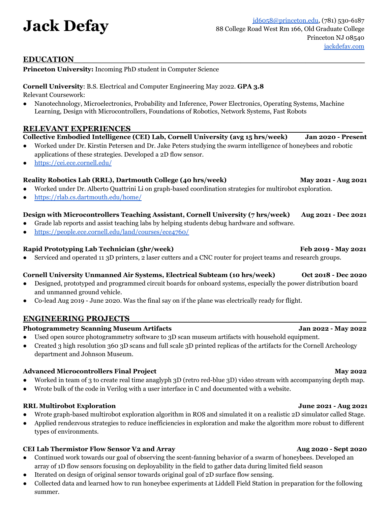# **EDUCATION\_\_\_\_\_\_\_\_\_\_\_\_\_\_\_\_\_\_\_\_\_\_\_\_\_\_\_\_\_\_\_\_\_\_\_\_\_\_\_\_\_\_\_\_\_\_\_\_\_\_\_\_\_\_**

**Princeton University:** Incoming PhD student in Computer Science

**Cornell University**: B.S. Electrical and Computer Engineering May 2022. **GPA 3.8** Relevant Coursework:

• Nanotechnology, Microelectronics, Probability and Inference, Power Electronics, Operating Systems, Machine Learning, Design with Microcontrollers, Foundations of Robotics, Network Systems, Fast Robots

### **RELEVANT EXPERIENCES\_\_\_\_\_\_\_\_\_\_\_\_\_\_\_\_\_\_\_\_\_\_\_\_\_\_\_\_\_\_\_\_\_\_\_\_\_\_\_\_\_\_\_**

**Collective Embodied Intelligence (CEI) Lab, Cornell University (avg 15 hrs/week) Jan 2020 - Present**

- Worked under Dr. Kirstin Petersen and Dr. Jake Peters studying the swarm intelligence of honeybees and robotic applications of these strategies. Developed a 2D flow sensor.
- <https://cei.ece.cornell.edu/>

## **Reality Robotics Lab (RRL), Dartmouth College (40 hrs/week) May 2021 - Aug 2021**

- Worked under Dr. Alberto Quattrini Li on graph-based coordination strategies for multirobot exploration.
- <https://rlab.cs.dartmouth.edu/home/>

# **Design with Microcontrollers Teaching Assistant, Cornell University (7 hrs/week) Aug 2021 - Dec 2021**

- Grade lab reports and assist teaching labs by helping students debug hardware and software.
- <https://people.ece.cornell.edu/land/courses/ece4760/>

## **Rapid Prototyping Lab Technician (5hr/week) Feb 2019 - May 2021**

• Serviced and operated 11 3D printers, 2 laser cutters and a CNC router for project teams and research groups.

### **Cornell University Unmanned Air Systems, Electrical Subteam (10 hrs/week) Oct 2018 - Dec 2020**

- Designed, prototyped and programmed circuit boards for onboard systems, especially the power distribution board and unmanned ground vehicle.
- Co-lead Aug 2019 June 2020. Was the final say on if the plane was electrically ready for flight.

# **ENGINEERING PROJECTS\_\_\_\_\_\_\_\_\_\_\_\_\_\_\_\_\_\_\_\_\_\_\_\_\_\_\_\_\_\_\_\_\_\_\_\_\_\_\_\_\_\_\_\_**

### **Photogrammetry Scanning Museum Artifacts Jan 2022 - May 2022**

- Used open source photogrammetry software to 3D scan museum artifacts with household equipment.
- Created 3 high resolution 360 3D scans and full scale 3D printed replicas of the artifacts for the Cornell Archeology department and Johnson Museum.

### **Advanced Microcontrollers Final Project May 2022**

- Worked in team of 3 to create real time anaglyph 3D (retro red-blue 3D) video stream with accompanying depth map.
- Wrote bulk of the code in Verilog with a user interface in C and documented with a website.

### **RRL Multirobot Exploration June 2021 - Aug 2021**

- Wrote graph-based multirobot exploration algorithm in ROS and simulated it on a realistic 2D simulator called Stage.
- Applied rendezvous strategies to reduce inefficiencies in exploration and make the algorithm more robust to different types of environments.

### **CEI Lab Thermistor Flow Sensor V2 and Array Aug 2020 - Sept 2020**

- Continued work towards our goal of observing the scent-fanning behavior of a swarm of honeybees. Developed an array of 1D flow sensors focusing on deployability in the field to gather data during limited field season
- Iterated on design of original sensor towards original goal of 2D surface flow sensing.
- Collected data and learned how to run honeybee experiments at Liddell Field Station in preparation for the following summer.